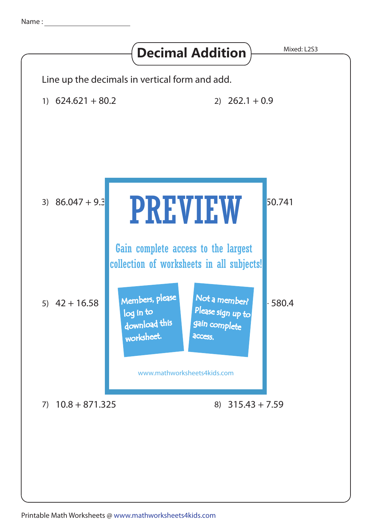